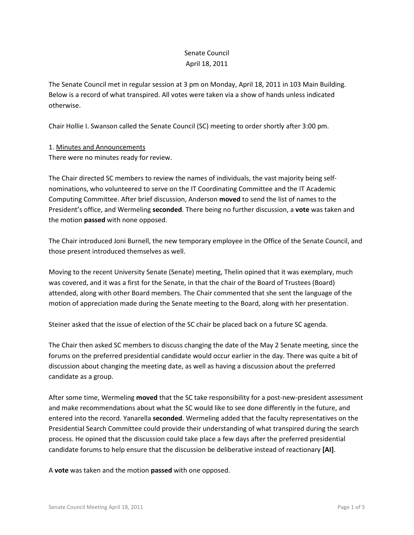## Senate Council April 18, 2011

The Senate Council met in regular session at 3 pm on Monday, April 18, 2011 in 103 Main Building. Below is a record of what transpired. All votes were taken via a show of hands unless indicated otherwise.

Chair Hollie I. Swanson called the Senate Council (SC) meeting to order shortly after 3:00 pm.

### 1. Minutes and Announcements

There were no minutes ready for review.

The Chair directed SC members to review the names of individuals, the vast majority being selfnominations, who volunteered to serve on the IT Coordinating Committee and the IT Academic Computing Committee. After brief discussion, Anderson **moved** to send the list of names to the President's office, and Wermeling **seconded**. There being no further discussion, a **vote** was taken and the motion **passed** with none opposed.

The Chair introduced Joni Burnell, the new temporary employee in the Office of the Senate Council, and those present introduced themselves as well.

Moving to the recent University Senate (Senate) meeting, Thelin opined that it was exemplary, much was covered, and it was a first for the Senate, in that the chair of the Board of Trustees (Board) attended, along with other Board members. The Chair commented that she sent the language of the motion of appreciation made during the Senate meeting to the Board, along with her presentation.

Steiner asked that the issue of election of the SC chair be placed back on a future SC agenda.

The Chair then asked SC members to discuss changing the date of the May 2 Senate meeting, since the forums on the preferred presidential candidate would occur earlier in the day. There was quite a bit of discussion about changing the meeting date, as well as having a discussion about the preferred candidate as a group.

After some time, Wermeling **moved** that the SC take responsibility for a post-new-president assessment and make recommendations about what the SC would like to see done differently in the future, and entered into the record. Yanarella **seconded**. Wermeling added that the faculty representatives on the Presidential Search Committee could provide their understanding of what transpired during the search process. He opined that the discussion could take place a few days after the preferred presidential candidate forums to help ensure that the discussion be deliberative instead of reactionary **[AI]**.

A **vote** was taken and the motion **passed** with one opposed.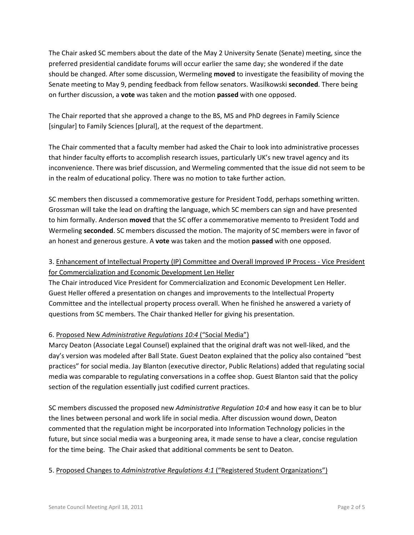The Chair asked SC members about the date of the May 2 University Senate (Senate) meeting, since the preferred presidential candidate forums will occur earlier the same day; she wondered if the date should be changed. After some discussion, Wermeling **moved** to investigate the feasibility of moving the Senate meeting to May 9, pending feedback from fellow senators. Wasilkowski **seconded**. There being on further discussion, a **vote** was taken and the motion **passed** with one opposed.

The Chair reported that she approved a change to the BS, MS and PhD degrees in Family Science [singular] to Family Sciences [plural], at the request of the department.

The Chair commented that a faculty member had asked the Chair to look into administrative processes that hinder faculty efforts to accomplish research issues, particularly UK's new travel agency and its inconvenience. There was brief discussion, and Wermeling commented that the issue did not seem to be in the realm of educational policy. There was no motion to take further action.

SC members then discussed a commemorative gesture for President Todd, perhaps something written. Grossman will take the lead on drafting the language, which SC members can sign and have presented to him formally. Anderson **moved** that the SC offer a commemorative memento to President Todd and Wermeling **seconded**. SC members discussed the motion. The majority of SC members were in favor of an honest and generous gesture. A **vote** was taken and the motion **passed** with one opposed.

# 3. Enhancement of Intellectual Property (IP) Committee and Overall Improved IP Process - Vice President for Commercialization and Economic Development Len Heller

The Chair introduced Vice President for Commercialization and Economic Development Len Heller. Guest Heller offered a presentation on changes and improvements to the Intellectual Property Committee and the intellectual property process overall. When he finished he answered a variety of questions from SC members. The Chair thanked Heller for giving his presentation.

### 6. Proposed New *Administrative Regulations 10:4* ("Social Media")

Marcy Deaton (Associate Legal Counsel) explained that the original draft was not well-liked, and the day's version was modeled after Ball State. Guest Deaton explained that the policy also contained "best practices" for social media. Jay Blanton (executive director, Public Relations) added that regulating social media was comparable to regulating conversations in a coffee shop. Guest Blanton said that the policy section of the regulation essentially just codified current practices.

SC members discussed the proposed new *Administrative Regulation 10:4* and how easy it can be to blur the lines between personal and work life in social media. After discussion wound down, Deaton commented that the regulation might be incorporated into Information Technology policies in the future, but since social media was a burgeoning area, it made sense to have a clear, concise regulation for the time being. The Chair asked that additional comments be sent to Deaton.

### 5. Proposed Changes to *Administrative Regulations 4:1* ("Registered Student Organizations")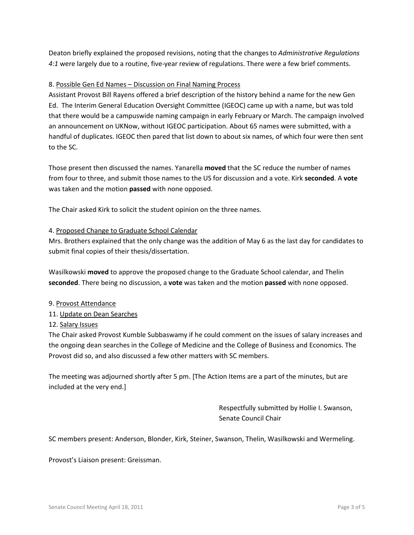Deaton briefly explained the proposed revisions, noting that the changes to *Administrative Regulations 4:1* were largely due to a routine, five-year review of regulations. There were a few brief comments.

#### 8. Possible Gen Ed Names – Discussion on Final Naming Process

Assistant Provost Bill Rayens offered a brief description of the history behind a name for the new Gen Ed. The Interim General Education Oversight Committee (IGEOC) came up with a name, but was told that there would be a campuswide naming campaign in early February or March. The campaign involved an announcement on UKNow, without IGEOC participation. About 65 names were submitted, with a handful of duplicates. IGEOC then pared that list down to about six names, of which four were then sent to the SC.

Those present then discussed the names. Yanarella **moved** that the SC reduce the number of names from four to three, and submit those names to the US for discussion and a vote. Kirk **seconded**. A **vote** was taken and the motion **passed** with none opposed.

The Chair asked Kirk to solicit the student opinion on the three names.

#### 4. Proposed Change to Graduate School Calendar

Mrs. Brothers explained that the only change was the addition of May 6 as the last day for candidates to submit final copies of their thesis/dissertation.

Wasilkowski **moved** to approve the proposed change to the Graduate School calendar, and Thelin **seconded**. There being no discussion, a **vote** was taken and the motion **passed** with none opposed.

- 9. Provost Attendance
- 11. Update on Dean Searches
- 12. Salary Issues

The Chair asked Provost Kumble Subbaswamy if he could comment on the issues of salary increases and the ongoing dean searches in the College of Medicine and the College of Business and Economics. The Provost did so, and also discussed a few other matters with SC members.

The meeting was adjourned shortly after 5 pm. [The Action Items are a part of the minutes, but are included at the very end.]

> Respectfully submitted by Hollie I. Swanson, Senate Council Chair

SC members present: Anderson, Blonder, Kirk, Steiner, Swanson, Thelin, Wasilkowski and Wermeling.

Provost's Liaison present: Greissman.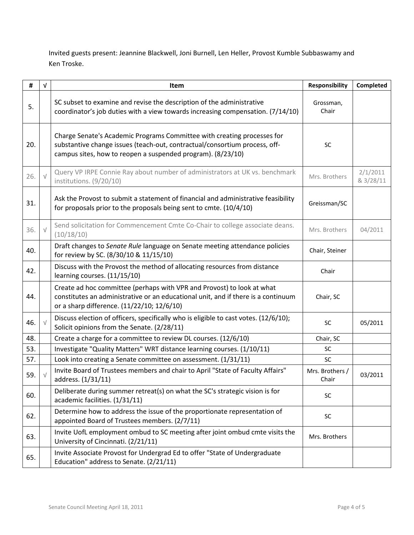Invited guests present: Jeannine Blackwell, Joni Burnell, Len Heller, Provost Kumble Subbaswamy and Ken Troske.

| #   | $\sqrt{ }$ | Item                                                                                                                                                                                                                 | Responsibility           | Completed             |
|-----|------------|----------------------------------------------------------------------------------------------------------------------------------------------------------------------------------------------------------------------|--------------------------|-----------------------|
| 5.  |            | SC subset to examine and revise the description of the administrative<br>coordinator's job duties with a view towards increasing compensation. (7/14/10)                                                             | Grossman,<br>Chair       |                       |
| 20. |            | Charge Senate's Academic Programs Committee with creating processes for<br>substantive change issues (teach-out, contractual/consortium process, off-<br>campus sites, how to reopen a suspended program). (8/23/10) | <b>SC</b>                |                       |
| 26. |            | Query VP IRPE Connie Ray about number of administrators at UK vs. benchmark<br>institutions. (9/20/10)                                                                                                               | Mrs. Brothers            | 2/1/2011<br>& 3/28/11 |
| 31. |            | Ask the Provost to submit a statement of financial and administrative feasibility<br>for proposals prior to the proposals being sent to cmte. (10/4/10)                                                              | Greissman/SC             |                       |
| 36. | $\sqrt{}$  | Send solicitation for Commencement Cmte Co-Chair to college associate deans.<br>(10/18/10)                                                                                                                           | Mrs. Brothers            | 04/2011               |
| 40. |            | Draft changes to Senate Rule language on Senate meeting attendance policies<br>for review by SC. (8/30/10 & 11/15/10)                                                                                                | Chair, Steiner           |                       |
| 42. |            | Discuss with the Provost the method of allocating resources from distance<br>learning courses. (11/15/10)                                                                                                            | Chair                    |                       |
| 44. |            | Create ad hoc committee (perhaps with VPR and Provost) to look at what<br>constitutes an administrative or an educational unit, and if there is a continuum<br>or a sharp difference. (11/22/10; 12/6/10)            | Chair, SC                |                       |
| 46. |            | Discuss election of officers, specifically who is eligible to cast votes. (12/6/10);<br>Solicit opinions from the Senate. (2/28/11)                                                                                  | SC                       | 05/2011               |
| 48. |            | Create a charge for a committee to review DL courses. (12/6/10)                                                                                                                                                      | Chair, SC                |                       |
| 53. |            | Investigate "Quality Matters" WRT distance learning courses. (1/10/11)                                                                                                                                               | SC                       |                       |
| 57. |            | Look into creating a Senate committee on assessment. (1/31/11)                                                                                                                                                       | SC                       |                       |
| 59. |            | Invite Board of Trustees members and chair to April "State of Faculty Affairs"<br>address. (1/31/11)                                                                                                                 | Mrs. Brothers /<br>Chair | 03/2011               |
| 60. |            | Deliberate during summer retreat(s) on what the SC's strategic vision is for<br>academic facilities. (1/31/11)                                                                                                       | SC                       |                       |
| 62. |            | Determine how to address the issue of the proportionate representation of<br>appointed Board of Trustees members. (2/7/11)                                                                                           | SC                       |                       |
| 63. |            | Invite UofL employment ombud to SC meeting after joint ombud cmte visits the<br>University of Cincinnati. (2/21/11)                                                                                                  | Mrs. Brothers            |                       |
| 65. |            | Invite Associate Provost for Undergrad Ed to offer "State of Undergraduate<br>Education" address to Senate. (2/21/11)                                                                                                |                          |                       |